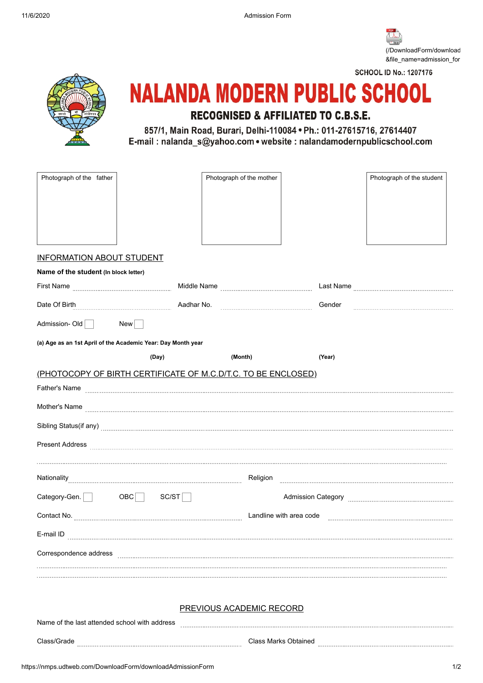11/6/2020 Admission Form

[\(/DownloadForm/download](https://nmps.udtweb.com/DownloadForm/downloadGenerateDoc/downloadAdmissionForm?&file_name=admission_form) &file\_name=admission\_for

**SCHOOL ID No.: 1207176** 

## **NALANDA MODERN PUBLIC SCHOOL RECOGNISED & AFFILIATED TO C.B.S.E.**

857/1, Main Road, Burari, Delhi-110084 · Ph.: 011-27615716, 27614407 E-mail: nalanda\_s@yahoo.com • website: nalandamodernpublicschool.com

| Photograph of the father                                     |                                                               | Photograph of the mother |        | Photograph of the student |  |
|--------------------------------------------------------------|---------------------------------------------------------------|--------------------------|--------|---------------------------|--|
|                                                              |                                                               |                          |        |                           |  |
|                                                              |                                                               |                          |        |                           |  |
|                                                              |                                                               |                          |        |                           |  |
|                                                              |                                                               |                          |        |                           |  |
| <b>INFORMATION ABOUT STUDENT</b>                             |                                                               |                          |        |                           |  |
| Name of the student (In block letter)                        |                                                               |                          |        |                           |  |
| First Name                                                   |                                                               |                          |        |                           |  |
| Date Of Birth                                                | Aadhar No.                                                    |                          | Gender |                           |  |
| Admission-Old New                                            |                                                               |                          |        |                           |  |
| (a) Age as an 1st April of the Academic Year: Day Month year |                                                               |                          |        |                           |  |
|                                                              | (Day)                                                         | (Month)                  | (Year) |                           |  |
|                                                              | (PHOTOCOPY OF BIRTH CERTIFICATE OF M.C.D/T.C. TO BE ENCLOSED) |                          |        |                           |  |
|                                                              | Father's Name                                                 |                          |        |                           |  |
|                                                              |                                                               |                          |        |                           |  |
|                                                              |                                                               |                          |        |                           |  |
| <b>Present Address</b>                                       |                                                               |                          |        |                           |  |
|                                                              |                                                               |                          |        |                           |  |
|                                                              |                                                               | Religion                 |        |                           |  |
| Category-Gen. OBC                                            | SC/ST                                                         |                          |        |                           |  |
| Contact No.                                                  | Landline with area code                                       |                          |        |                           |  |
| E-mail ID                                                    |                                                               |                          |        |                           |  |
| Correspondence address                                       |                                                               |                          |        |                           |  |
|                                                              |                                                               |                          |        |                           |  |
|                                                              |                                                               |                          |        |                           |  |
|                                                              |                                                               | PREVIOUS ACADEMIC RECORD |        |                           |  |

## ADEMIC RECORD

| Name of the last attended school with address |                             |  |
|-----------------------------------------------|-----------------------------|--|
| Class/Grade                                   | <b>Class Marks Obtained</b> |  |